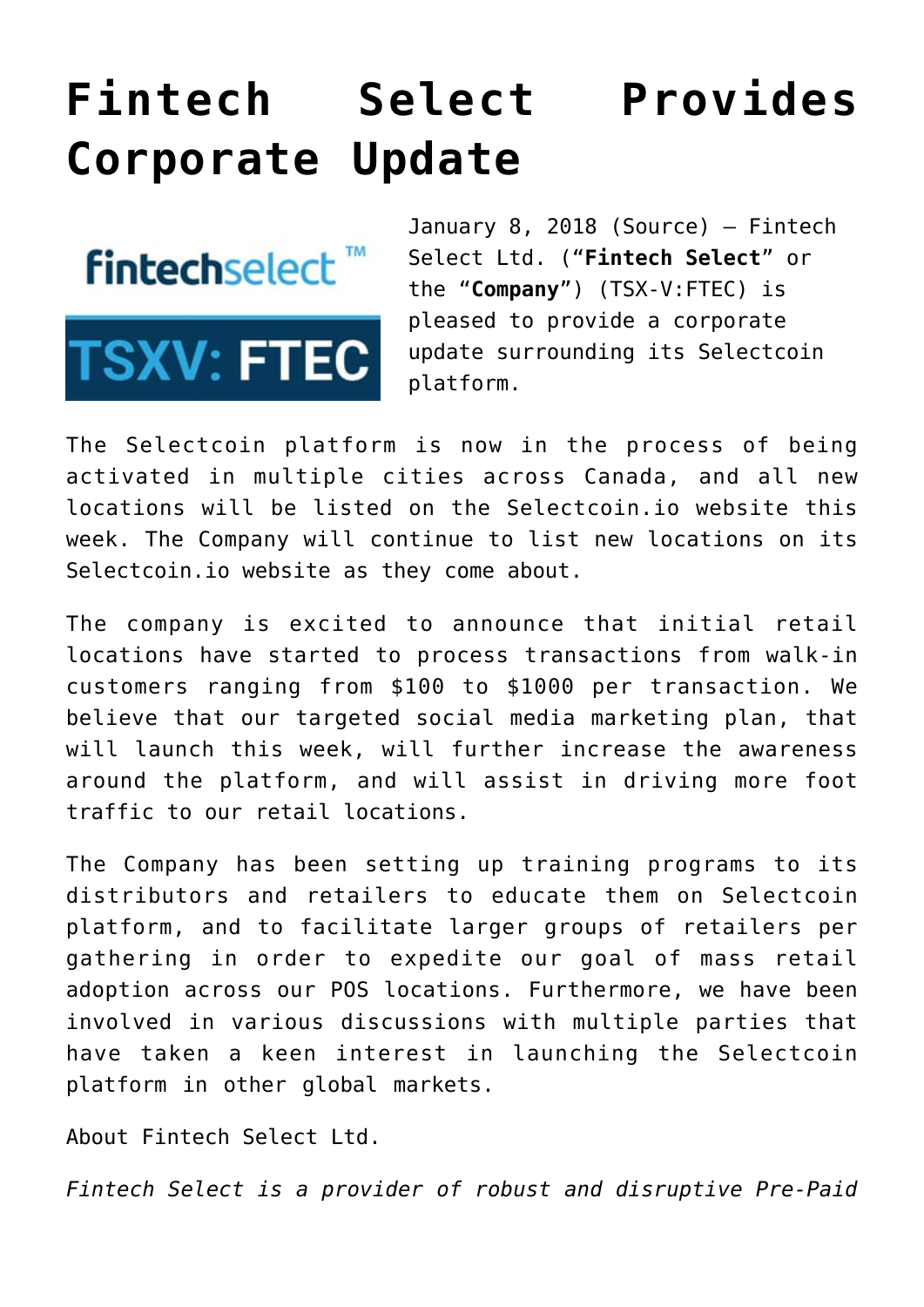## **[Fintech Select Provides](https://investorintel.com/markets/technology/technology-news/fintech-select-provides-corporate-update/) [Corporate Update](https://investorintel.com/markets/technology/technology-news/fintech-select-provides-corporate-update/)**

**fintechselect**™



January 8, 2018 [\(Source\)](https://investorintel.com/iintel-members/fintech-select-ltd/) — Fintech Select Ltd. ("**Fintech Select**" or the "**Company**") (TSX-V:[FTEC](http://www.globenewswire.com/News/Listing?symbol=FTEC&exchange=15)) is pleased to provide a corporate update surrounding its Selectcoin platform.

The Selectcoin platform is now in the process of being activated in multiple cities across Canada, and all new locations will be listed on the Selectcoin.io website this week. The Company will continue to list new locations on its Selectcoin.io website as they come about.

The company is excited to announce that initial retail locations have started to process transactions from walk-in customers ranging from \$100 to \$1000 per transaction. We believe that our targeted social media marketing plan, that will launch this week, will further increase the awareness around the platform, and will assist in driving more foot traffic to our retail locations.

The Company has been setting up training programs to its distributors and retailers to educate them on Selectcoin platform, and to facilitate larger groups of retailers per gathering in order to expedite our goal of mass retail adoption across our POS locations. Furthermore, we have been involved in various discussions with multiple parties that have taken a keen interest in launching the Selectcoin platform in other global markets.

About Fintech Select Ltd.

*Fintech Select is a provider of robust and disruptive Pre-Paid*